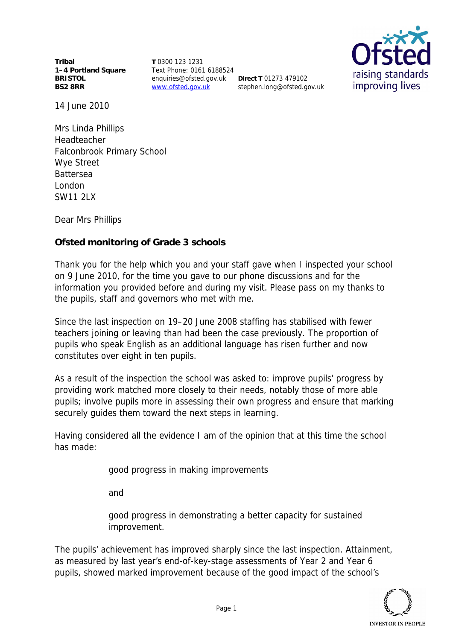**Tribal 1–4 Portland Square BRISTOL BS2 8RR**

**T** 0300 123 1231 Text Phone: 0161 6188524 enquiries@ofsted.gov.uk **Direct T** 01273 479102 www.ofsted.gov.uk

stephen.long@ofsted.gov.uk



14 June 2010

Mrs Linda Phillips Headteacher Falconbrook Primary School Wye Street Battersea London SW11 2LX

Dear Mrs Phillips

**Ofsted monitoring of Grade 3 schools**

Thank you for the help which you and your staff gave when I inspected your school on 9 June 2010, for the time you gave to our phone discussions and for the information you provided before and during my visit. Please pass on my thanks to the pupils, staff and governors who met with me.

Since the last inspection on 19–20 June 2008 staffing has stabilised with fewer teachers joining or leaving than had been the case previously. The proportion of pupils who speak English as an additional language has risen further and now constitutes over eight in ten pupils.

As a result of the inspection the school was asked to: improve pupils' progress by providing work matched more closely to their needs, notably those of more able pupils; involve pupils more in assessing their own progress and ensure that marking securely guides them toward the next steps in learning.

Having considered all the evidence I am of the opinion that at this time the school has made:

good progress in making improvements

and

good progress in demonstrating a better capacity for sustained improvement.

The pupils' achievement has improved sharply since the last inspection. Attainment, as measured by last year's end-of-key-stage assessments of Year 2 and Year 6 pupils, showed marked improvement because of the good impact of the school's

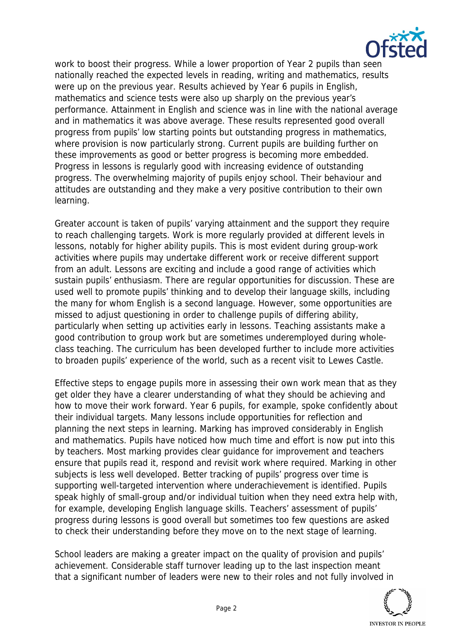

work to boost their progress. While a lower proportion of Year 2 pupils than seen nationally reached the expected levels in reading, writing and mathematics, results were up on the previous year. Results achieved by Year 6 pupils in English, mathematics and science tests were also up sharply on the previous year's performance. Attainment in English and science was in line with the national average and in mathematics it was above average. These results represented good overall progress from pupils' low starting points but outstanding progress in mathematics, where provision is now particularly strong. Current pupils are building further on these improvements as good or better progress is becoming more embedded. Progress in lessons is regularly good with increasing evidence of outstanding progress. The overwhelming majority of pupils enjoy school. Their behaviour and attitudes are outstanding and they make a very positive contribution to their own learning.

Greater account is taken of pupils' varying attainment and the support they require to reach challenging targets. Work is more regularly provided at different levels in lessons, notably for higher ability pupils. This is most evident during group-work activities where pupils may undertake different work or receive different support from an adult. Lessons are exciting and include a good range of activities which sustain pupils' enthusiasm. There are regular opportunities for discussion. These are used well to promote pupils' thinking and to develop their language skills, including the many for whom English is a second language. However, some opportunities are missed to adjust questioning in order to challenge pupils of differing ability, particularly when setting up activities early in lessons. Teaching assistants make a good contribution to group work but are sometimes underemployed during wholeclass teaching. The curriculum has been developed further to include more activities to broaden pupils' experience of the world, such as a recent visit to Lewes Castle.

Effective steps to engage pupils more in assessing their own work mean that as they get older they have a clearer understanding of what they should be achieving and how to move their work forward. Year 6 pupils, for example, spoke confidently about their individual targets. Many lessons include opportunities for reflection and planning the next steps in learning. Marking has improved considerably in English and mathematics. Pupils have noticed how much time and effort is now put into this by teachers. Most marking provides clear guidance for improvement and teachers ensure that pupils read it, respond and revisit work where required. Marking in other subjects is less well developed. Better tracking of pupils' progress over time is supporting well-targeted intervention where underachievement is identified. Pupils speak highly of small-group and/or individual tuition when they need extra help with, for example, developing English language skills. Teachers' assessment of pupils' progress during lessons is good overall but sometimes too few questions are asked to check their understanding before they move on to the next stage of learning.

School leaders are making a greater impact on the quality of provision and pupils' achievement. Considerable staff turnover leading up to the last inspection meant that a significant number of leaders were new to their roles and not fully involved in